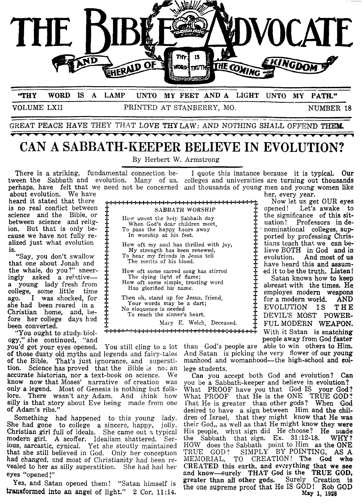

**'my WORD IS A LAMP UNTO MY** FEET **AND ALIGHT UNTO MY PATH:**  VOLUME LXII PRINTED AT STANBERRY, hI0. NUMBER 18

GREAT PEACE HAVE THEY THAT LOVE THY LAW: AND NOTHING SHALL OFFEND THEM.

## **CAN A SABBATH-KEEPER BELIEVE IN EVOLUTION?**

By Herbert W. Armstrong

How oft my soul has thrilled with joy,

How oft some sacred song has stirred

In worship at his feet.

The merits of his blood.

There is a striking, fundamental connection be- I quote this instance because it is typical. Our tween the Sabbath and evolution. Many of us, colleges and universities are turning out thousands perhaps, have felt that we need not be concerned and thousands of young men and young women like about evolution. We have her, every year.

about evolution. We have the every year.<br>heard it stated that there  $\frac{1}{2}$ ,  $\frac{1}{2}$ ,  $\frac{1}{2}$ ,  $\frac{1}{2}$ ,  $\frac{1}{2}$ ,  $\frac{1}{2}$ ,  $\frac{1}{2}$ ,  $\frac{1}{2}$ ,  $\frac{1}{2}$ ,  $\frac{1}{2}$ ,  $\frac{1}{2}$ ,  $\frac{1}{2}$ ,  $\frac{1}{2}$ ,  $\frac{1}{2}$ ,

a young lady fresh from been converted.

"You ought to study) biol-

you'd get your eyes opened. You still cling to a lot than God's people are able to win others to Him.<br>of those dusty old myths and legends and fairy-tales And Satan is picking the very flower of our young of the Bible. That's just ignorance, and superstition. Science has proved that the Bible is not an lege students.<br>accurate historian, nor a text-book on science. We Can you accept both God and evolution? Can accurate historian, nor a text-book on science. We know now that Moses' narrative of creation was know now that Moses' narrative of creation was you be a Sabbath-keeper and believe in evolution?<br>only a legend. Most of Genesis is nothing but folk- What PROOF have you that God IS your God lore. There wasn't any Adam. And think how What PROOF that He is the ONE TRUE GOD! silly is that story about Eve being made from one l'hat He is greater than other gods? When **God** 

She had gone to college a sincere, happy, jolly. their God,, as well as that He might know they were Christian girl full of ideals. She came out a typical His people, what sign did He choose? He made Christian girl full of ideals. She came out **1** typical His people, what sign did He choose? He made modem girl. **A** scoffer. Idealism shattered. Ser- the Sabbath that sign. Ex. **31:12-18.** WHY? bus, sarcastic, cynical. Yet she stoutly maintained HOW does the Sabbath point to Him as the ONE that she still believed in God. Only her conception TEUE GOD? SIMPLY BY POINTING, **AS A**  had changed, and most of Christianity had been re- MEMORIAL, TO CREATION! The **God who** vealed to her as silly superstition. She had had her **CREATED** this earth, and everything that we see vealed to her as silly superstition. She had had her CREATED this earth, and everything that we see eyes "opened !" and know--surely **THAT** God **is** the **TRUE GOD,** 

**transformed** into an angel of light." **2** Cor. **11:14. May 1, 1928** 

Christian home, and, be-  $\frac{1}{10}$  To reach the sinner's heart.  $\frac{1}{10}$  DEVIL'S MOST POWER-<br>fore her college days had  $\frac{1}{10}$  To reach the sinner's heart.  $\frac{1}{10}$  DEVIL'S MOST POWER-<br>heen converted ogy," she continued, "and people away from God faster" No eloquence is needed<br>To reach the sinner's heart. **,.\*a** ~-i++w++ With it Sstan is snatching , , , , , , , ,~

And Satan is picking the very flower of our young manhood and womanhood—the high-school and col-

only a legend. Most of Genesis is nothing but folk- What PROOF have you that God IS your God? silly is that story about Eve being made from one That He is greater than other gods? When God<br>of Adam's ribs." desired to have a sign between Him and the chil-<br>Something had happened to this voung lady, dren of Israel, th Something had happened to this young lady, dren of Israel, that they might know that He was<br>le had gone to college a sincere, happy, jolly, their God., as well as that He might know they were greater than all other gods. Surely Creation **is** Yes, and Satan opened them! "Satan himself is the one supreme proof that He 1s **GOD!** Rob GOD

heard it stated that the term in the terminal terminal terminal terminal terminal stated to that the stated to<br>  $\frac{1}{L}$  opened! Let's awake to is no real conflict between  $\frac{1}{1}$  SABBATH WORSHIP  $\frac{1}{1}$  opened! Let's awake to science and the Bible, or  $\frac{1}{1}$  the significance of this sitscience and the Bible, or  $\frac{1}{4}$  if  $\frac{1}{100}$  sweet the holy Sabbath day  $\frac{1}{4}$  the significance of this sitbetween science and relig-  $\ddot{\uparrow}$  when God's dear children meet.  $\ddot{\uparrow}$  uation! Professors in debetween science and relig-<br>ion. But that is only be-<br>cause we have not fully re-<br>In worship at his feet.<br>In worship at his feet.<br> $\frac{1}{2}$  at ionted by professing Chris-<br>ported by professing Chriscause we have not fully re-<br>alized just what evolution  $\begin{array}{ccc}\n\text{if} & \text{if} & \text{if} & \text{if} & \text{if} & \text{if} & \text{if} & \text{if} & \text{if} & \text{if} & \text{if} & \text{if} & \text{if} & \text{if} & \text{if} & \text{if} & \text{if} & \text{if} & \text{if} & \text{if} & \text{if} & \text{if} & \text{if} & \text{if} & \text{if} & \text{if} & \text$  $i$  is a strength has been renewed,  $\frac{1}{4}$  lieve BOTH in God and in  $i$  is the most of  $\frac{1}{4}$  is the strength has been renewed,  $\frac{1}{4}$  lieve BOTH in God and in  $\frac{1}{4}$  evolution. And most of us "Say, you don't swallow  $\ddagger$  To hear my friends in Jesus tell  $\ddagger$  evolution. And most of us that one about Jonah and  $\frac{1}{4}$  The ments of his blood.<br>
the whale, do you?" sneer-  $\frac{1}{4}$  How oft some sacred song has stirred  $\frac{1}{4}$  ed it to be the truth. Listen! by oft some sacred song has stirred  $\frac{1}{1}$  ed it to be the truth. Listen!<br>The dying light of flame; Satan knows how to keen ingly asked a relative- $\frac{1}{1}$  The dying light of flame;  $\frac{1}{1}$  Satan knows how to keep a young lady fresh from  $\frac{1}{1}$  Bureast with the times. He How oft some simple, trusting word<br>
Has glorified his name.<br>  $\frac{1}{1}$  abreast with the times. He<br>
employes modern weapons college, some little time  $\frac{1}{2}$  in ground in hand.<br>ago. I was shocked, for  $\frac{1}{2}$  Then oh, stand up for Jesus, friend.  $\frac{1}{2}$  for a modern world. AND ago. I was shocked, for  $\frac{1}{\frac{1}{\sqrt{N}}}\int_{N_0}^{\frac{1}{\sqrt{N}}}$  and  $\frac{1}{\sqrt{N}}\int_{N_0}^{\frac{1}{\sqrt{N}}}$  and  $\frac{1}{\sqrt{N}}\int_{N_0}^{\frac{1}{\sqrt{N}}}$  and  $\frac{1}{\sqrt{N}}\int_{N_0}^{\frac{1}{\sqrt{N}}}$  and  $\frac{1}{\sqrt{N}}\int_{N_0}^{\frac{1}{\sqrt{N}}}$  and  $\frac{1}{\sqrt{N}}\int_{N_0$ DEVIL'S MOST POWER-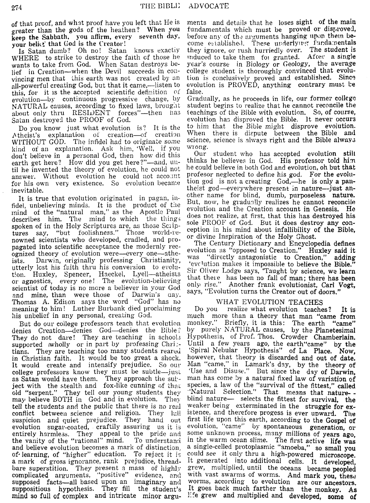of that proof, and what proof have you left that He is greater than the gods of the heathen? When you keep the Sabbath, you affirm, every seventh day, your belict that God is the Creator!

Is Satan dumb? Oh no! Satan knows exactiv WHERE to strike to destroy the faith of those he wants to take from God. When Satan destroys belief in Creation-when the Devil succeeds in convincing men that this earth was not created by an all-powerful creating God, but that it came,—listen to this, for it is the accepted scientific definition of evolution-by continuous progressive change, by NATURAL causes, according to fixed laws, brought about only thru RESIDENT forces"-then has Satan destroyed the PROOF of God.

Do you know just what evolution is? It is the Atheist's explanation of creation-of creation WITHOUT GOD. The infidel had to originate some kind of an explanation. Ask him, 'Well, if you don't believe in a personal God, then how did this earth get here? How did you get here?"-and. until he invented the theory of evolution, he could not answer. Without evolution he could not account for his own very existence. So evolution became inevitable.

It is true that evolution originated in pagan, infide!, unbelieving minds. It is the product of the mind of the "natural man," as the Apostle Paul him. The mind to which the things describes spoken of in the Holy Scriptures are, as those Scip-"but foolishness." Those world-retures say. nowned scientists who developed, cradled, and propagated into scientific acceptance the modernly recognized theory of evolution were-every one-athe-Darwin, originally professing Christianity. ists. utterly lost his faith thru his conversion to evolution. Huxley, Spencer, Haeckel, Lyell-atheists<br>or agnostics, every one! The evolution-believing scientist of today is no more a believer in your God and mine, than were those of Darwin's day. Thomas A. Edison says the word "God" has no meaning to him! Luther Burbank died proclaiming his unbelief in any personal, creating God.

But do our college professors teach that evolution denies Creation—denies God—denies the Bible? They do not dare! They are teaching in schools supported wholly or in part by professing Chris-They are teaching too many students reared tians. in Christian faith. It would be too great a shock. It would create and intensify prejudice. So our college professors know they must be subtle-just as Satan would have them. They approach the sub-<br>ject with the stealth and fox-like cunning of that<br>old "serpent." They tell our young students they may believe BOTH in God and in evolution. They tell the students and the public that there is no real They Iull conflict between science and religion. suspicion and quiet prejudice. They hand out evolution sugar-coated, craftily assuring us it is entirely harmless. They appeal to the pride and the vanity of the "rational" mind. To understand and believe evolution becomes a mark of distinction. of learning, of "higher" education. To reject it is a mark of gross ignorance, rank prejudice, threadbare superstition. They present a mass of highly complicated arguments, "positive" evidence, and supposed facts-all based upon an imaginary and suppositious hypothesis. They fill the student's mind so full of complex and intricate minor argu-

ments and details that he loses sight of the main fundamentals which must be proved or disproved. before any of the arguments hanging upon them become established. These underlying fundamentals<br>they ignore, or rush hurriedly over. The student is<br>induced to take them for granted. After a single year's course in Biology or Geology, the average college student is thoroughly convinced that evolution is conclusively proved and established. Since evolution is PROVED, anything contrary must be false.

Gradually, as he proceeds in life, our former college student begins to realize that he cannot reconcile the teachings of the Bible with evolution. So, of course, evolution has disproved the Bible. It never occurs to him that the Bible might disprove evolution. When there is dispute between the Bible and science, science is always right and the Bible always wrong.

Our student who has accepted evolution still thinks he believes in God. His professor told him he could believe in both God and evolution, oh but that profesor neglected to define his god. For the evolution god is not a creating God,—he is only a pantheist god-everywhere present in nature--just another name for blind, dumb, purposeless nature. But, now, he gradually realizes he cannot reconcile evolution and the Creation account in Genesis. He does not realize, at first, that this has destroyed his sole PROOF of God. But it does destroy any conception in his mind about infallibility of the Bible, or divine Inspiration of the Holy Ghost.

The Century Dictionary and Encyclopedia defines evolution as "opposed to Creation." Huxley said it "directly antagonistic to Creation," adding was 'evolution makes it impossible to believe the Bible.' Sir Oliver Lodge says, 'Taught by science, we learn that there has been no fall of man; there has been<br>only rise." Another frank evolutionist, Carl Vogt, says, "Evolution turns the Creator out of doors."

## WHAT EVOLUTION TEACHES

realize what evolution teaches? Do you It is much more than a theory that man "came from monkey." Briefly, it is this: The earth "came" by purely NATURAL causes, by the Planetesimal Hypothesis, of Prof. Thos. Crowder Chamberlain. Until a few years ago, the earth"came" by the 'Spiral Nebular Hypothesis" of La Place. Now, however, that theory is discarded and out of date. Man "came," in Lamark's day, by the theory of 'Use and Disuse." But since the day of Darwin, man has come by a natural fixed law of variation of species, a law of the "survival of the fittest," called<br>"Natural Selection." That means that natureblind nature- selects the fittest for survival, the weaker being exterminated in the struggle for existence, and therefore progess is ever upward. The first life upon this earth, according to the Gospel of evolution, "came" by spontaneous generation, or some unknown process, many millions of years ago. in the warm ocean slime. The first active life was a single-celled protoplasmic "amoeba," so small you could see it only thru a high-powered microscope. It generated into additional cells. It developed, grew, multiplied, until the oceans became peopled with vast swarms of worms. And mark you, these worms, according to evolution are our ancestors. It goes back much farther than the monkey. As life grew and multiplied and developed, some of